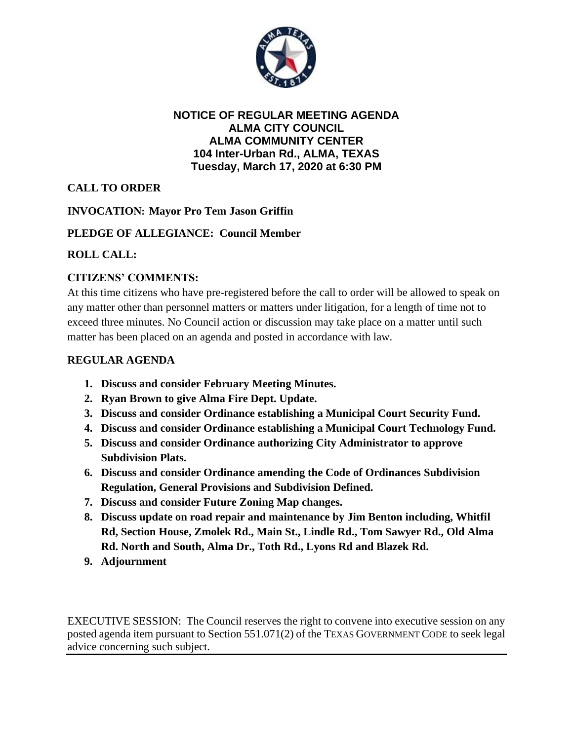

#### **NOTICE OF REGULAR MEETING AGENDA ALMA CITY COUNCIL ALMA COMMUNITY CENTER 104 Inter-Urban Rd., ALMA, TEXAS Tuesday, March 17, 2020 at 6:30 PM**

# **CALL TO ORDER**

### **INVOCATION: Mayor Pro Tem Jason Griffin**

## **PLEDGE OF ALLEGIANCE: Council Member**

## **ROLL CALL:**

## **CITIZENS' COMMENTS:**

At this time citizens who have pre-registered before the call to order will be allowed to speak on any matter other than personnel matters or matters under litigation, for a length of time not to exceed three minutes. No Council action or discussion may take place on a matter until such matter has been placed on an agenda and posted in accordance with law.

### **REGULAR AGENDA**

- **1. Discuss and consider February Meeting Minutes.**
- **2. Ryan Brown to give Alma Fire Dept. Update.**
- **3. Discuss and consider Ordinance establishing a Municipal Court Security Fund.**
- **4. Discuss and consider Ordinance establishing a Municipal Court Technology Fund.**
- **5. Discuss and consider Ordinance authorizing City Administrator to approve Subdivision Plats.**
- **6. Discuss and consider Ordinance amending the Code of Ordinances Subdivision Regulation, General Provisions and Subdivision Defined.**
- **7. Discuss and consider Future Zoning Map changes.**
- **8. Discuss update on road repair and maintenance by Jim Benton including, Whitfil Rd, Section House, Zmolek Rd., Main St., Lindle Rd., Tom Sawyer Rd., Old Alma Rd. North and South, Alma Dr., Toth Rd., Lyons Rd and Blazek Rd.**
- **9. Adjournment**

EXECUTIVE SESSION: The Council reserves the right to convene into executive session on any posted agenda item pursuant to Section 551.071(2) of the TEXAS GOVERNMENT CODE to seek legal advice concerning such subject.